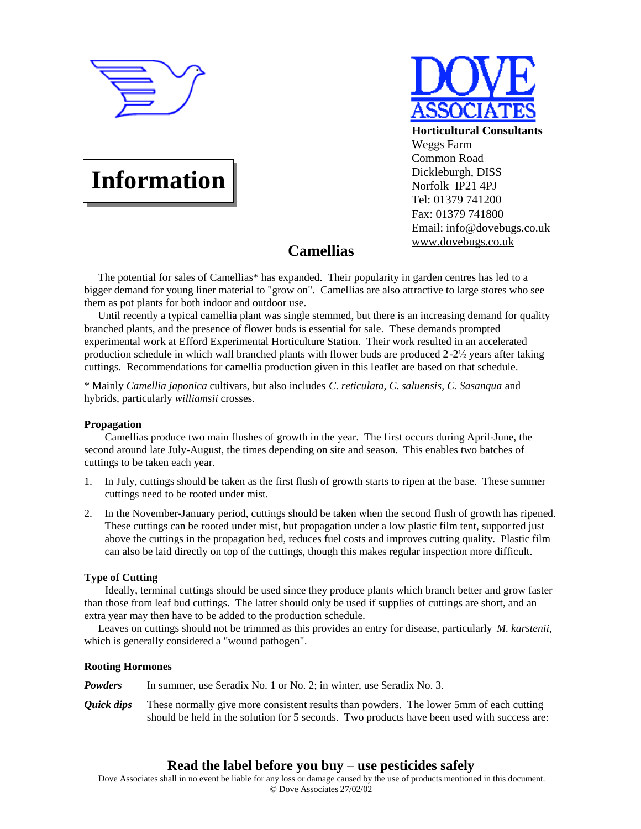

# **Information**



# **Camellias**

The potential for sales of Camellias\* has expanded. Their popularity in garden centres has led to a bigger demand for young liner material to "grow on". Camellias are also attractive to large stores who see them as pot plants for both indoor and outdoor use.

Until recently a typical camellia plant was single stemmed, but there is an increasing demand for quality branched plants, and the presence of flower buds is essential for sale. These demands prompted experimental work at Efford Experimental Horticulture Station. Their work resulted in an accelerated production schedule in which wall branched plants with flower buds are produced 2-2½ years after taking cuttings. Recommendations for camellia production given in this leaflet are based on that schedule.

\* Mainly *Camellia japonica* cultivars, but also includes *C. reticulata, C. saluensis, C. Sasanqua* and hybrids, particularly *williamsii* crosses.

# **Propagation**

Camellias produce two main flushes of growth in the year. The first occurs during April-June, the second around late July-August, the times depending on site and season. This enables two batches of cuttings to be taken each year.

- 1. In July, cuttings should be taken as the first flush of growth starts to ripen at the base. These summer cuttings need to be rooted under mist.
- 2. In the November-January period, cuttings should be taken when the second flush of growth has ripened. These cuttings can be rooted under mist, but propagation under a low plastic film tent, supported just above the cuttings in the propagation bed, reduces fuel costs and improves cutting quality. Plastic film can also be laid directly on top of the cuttings, though this makes regular inspection more difficult.

# **Type of Cutting**

Ideally, terminal cuttings should be used since they produce plants which branch better and grow faster than those from leaf bud cuttings. The latter should only be used if supplies of cuttings are short, and an extra year may then have to be added to the production schedule.

Leaves on cuttings should not be trimmed as this provides an entry for disease, particularly *M. karstenii,* which is generally considered a "wound pathogen".

# **Rooting Hormones**

*Powders* In summer, use Seradix No. 1 or No. 2; in winter, use Seradix No. 3.

*Quick dips* These normally give more consistent results than powders. The lower 5mm of each cutting should be held in the solution for 5 seconds. Two products have been used with success are:

# **Read the label before you buy – use pesticides safely**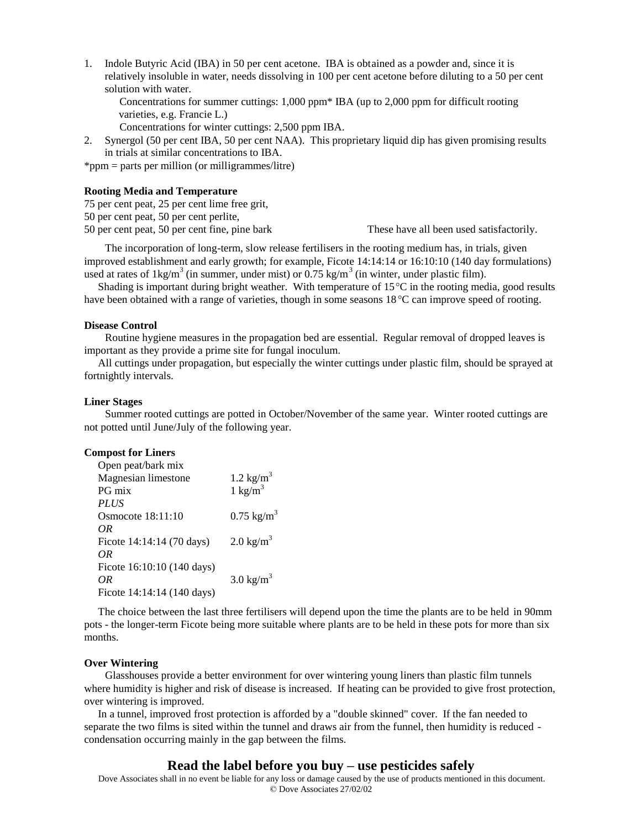1. Indole Butyric Acid (IBA) in 50 per cent acetone. IBA is obtained as a powder and, since it is relatively insoluble in water, needs dissolving in 100 per cent acetone before diluting to a 50 per cent solution with water.

Concentrations for summer cuttings: 1,000 ppm\* IBA (up to 2,000 ppm for difficult rooting varieties, e.g. Francie L.)

Concentrations for winter cuttings: 2,500 ppm IBA.

2. Synergol (50 per cent IBA, 50 per cent NAA). This proprietary liquid dip has given promising results in trials at similar concentrations to IBA.

\*ppm = parts per million (or milligrammes/litre)

# **Rooting Media and Temperature**

75 per cent peat, 25 per cent lime free grit,

50 per cent peat, 50 per cent perlite,

50 per cent peat, 50 per cent fine, pine bark These have all been used satisfactorily.

The incorporation of long-term, slow release fertilisers in the rooting medium has, in trials, given improved establishment and early growth; for example, Ficote 14:14:14 or 16:10:10 (140 day formulations) used at rates of  $1 \text{kg/m}^3$  (in summer, under mist) or 0.75 kg/m<sup>3</sup> (in winter, under plastic film).

Shading is important during bright weather. With temperature of  $15^{\circ}$ C in the rooting media, good results have been obtained with a range of varieties, though in some seasons 18 °C can improve speed of rooting.

#### **Disease Control**

Routine hygiene measures in the propagation bed are essential. Regular removal of dropped leaves is important as they provide a prime site for fungal inoculum.

All cuttings under propagation, but especially the winter cuttings under plastic film, should be sprayed at fortnightly intervals.

### **Liner Stages**

Summer rooted cuttings are potted in October/November of the same year. Winter rooted cuttings are not potted until June/July of the following year.

### **Compost for Liners**

| Open peat/bark mix         |                                          |
|----------------------------|------------------------------------------|
| Magnesian limestone        | 1.2 $\text{kg/m}^3$<br>1 $\text{kg/m}^3$ |
| PG mix                     |                                          |
| <b>PLUS</b>                |                                          |
| Osmocote 18:11:10          | $0.75 \text{ kg/m}^3$                    |
| OR                         |                                          |
| Ficote 14:14:14 (70 days)  | $2.0 \text{ kg/m}^3$                     |
| ΩR                         |                                          |
| Ficote 16:10:10 (140 days) |                                          |
| OR                         | $3.0 \text{ kg/m}^3$                     |
| Ficote 14:14:14 (140 days) |                                          |
|                            |                                          |

The choice between the last three fertilisers will depend upon the time the plants are to be held in 90mm pots - the longer-term Ficote being more suitable where plants are to be held in these pots for more than six months.

#### **Over Wintering**

Glasshouses provide a better environment for over wintering young liners than plastic film tunnels where humidity is higher and risk of disease is increased. If heating can be provided to give frost protection, over wintering is improved.

In a tunnel, improved frost protection is afforded by a "double skinned" cover. If the fan needed to separate the two films is sited within the tunnel and draws air from the funnel, then humidity is reduced condensation occurring mainly in the gap between the films.

# **Read the label before you buy – use pesticides safely**

Dove Associates shall in no event be liable for any loss or damage caused by the use of products mentioned in this document. © Dove Associates 27/02/02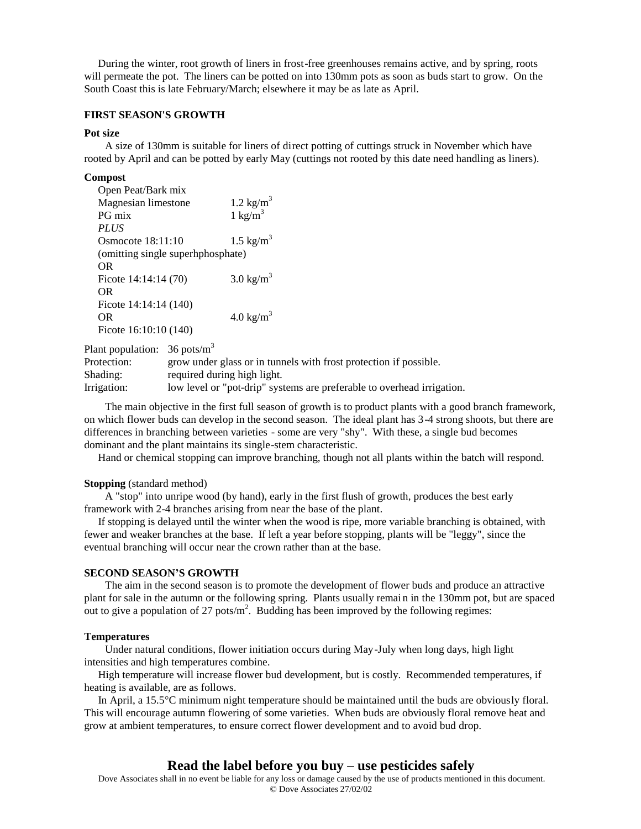During the winter, root growth of liners in frost-free greenhouses remains active, and by spring, roots will permeate the pot. The liners can be potted on into 130mm pots as soon as buds start to grow. On the South Coast this is late February/March; elsewhere it may be as late as April.

# **FIRST SEASON'S GROWTH**

# **Pot size**

A size of 130mm is suitable for liners of direct potting of cuttings struck in November which have rooted by April and can be potted by early May (cuttings not rooted by this date need handling as liners).

#### **Compost**

| Open Peat/Bark mix                |                         |
|-----------------------------------|-------------------------|
| Magnesian limestone               | $1.2$ kg/m <sup>3</sup> |
| PG mix                            | $1 \text{ kg/m}^3$      |
| <i>PLUS</i>                       |                         |
| Osmocote $18:11:10$               | $1.5 \text{ kg/m}^3$    |
| (omitting single superhphosphate) |                         |
| <b>OR</b>                         |                         |
| Ficote $14:14:14(70)$             | $3.0 \text{ kg/m}^3$    |
| <b>OR</b>                         |                         |
| Ficote 14:14:14 (140)             |                         |
| <b>OR</b>                         | 4.0 kg/ $m^3$           |
| Ficote 16:10:10 (140)             |                         |
|                                   |                         |

Plant population:  $36 \text{ posts/m}^3$ 

Protection: grow under glass or in tunnels with frost protection if possible. Shading: required during high light. Irrigation: low level or "pot-drip" systems are preferable to overhead irrigation.

The main objective in the first full season of growth is to product plants with a good branch framework, on which flower buds can develop in the second season. The ideal plant has 3-4 strong shoots, but there are differences in branching between varieties - some are very "shy". With these, a single bud becomes dominant and the plant maintains its single-stem characteristic.

Hand or chemical stopping can improve branching, though not all plants within the batch will respond.

#### **Stopping** (standard method)

A "stop" into unripe wood (by hand), early in the first flush of growth, produces the best early framework with 2-4 branches arising from near the base of the plant.

If stopping is delayed until the winter when the wood is ripe, more variable branching is obtained, with fewer and weaker branches at the base. If left a year before stopping, plants will be "leggy", since the eventual branching will occur near the crown rather than at the base.

#### **SECOND SEASON'S GROWTH**

The aim in the second season is to promote the development of flower buds and produce an attractive plant for sale in the autumn or the following spring. Plants usually remai n in the 130mm pot, but are spaced out to give a population of 27 pots/ $m^2$ . Budding has been improved by the following regimes:

### **Temperatures**

Under natural conditions, flower initiation occurs during May-July when long days, high light intensities and high temperatures combine.

High temperature will increase flower bud development, but is costly. Recommended temperatures, if heating is available, are as follows.

In April, a 15.5°C minimum night temperature should be maintained until the buds are obviously floral. This will encourage autumn flowering of some varieties. When buds are obviously floral remove heat and grow at ambient temperatures, to ensure correct flower development and to avoid bud drop.

# **Read the label before you buy – use pesticides safely**

Dove Associates shall in no event be liable for any loss or damage caused by the use of products mentioned in this document. © Dove Associates 27/02/02